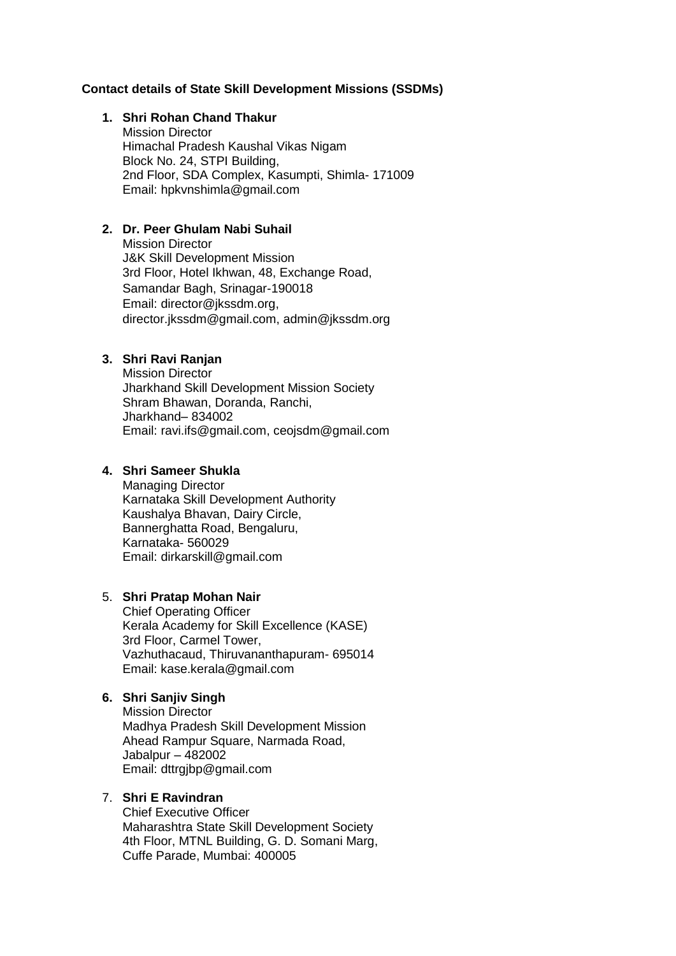## **Contact details of State Skill Development Missions (SSDMs)**

#### **1. Shri Rohan Chand Thakur**

Mission Director Himachal Pradesh Kaushal Vikas Nigam Block No. 24, STPI Building, 2nd Floor, SDA Complex, Kasumpti, Shimla- 171009 Email: hpkvnshimla@gmail.com

# **2. Dr. Peer Ghulam Nabi Suhail**

Mission Director J&K Skill Development Mission 3rd Floor, Hotel Ikhwan, 48, Exchange Road, Samandar Bagh, Srinagar-190018 Email: [director@jkssdm.org,](mailto:director@jkssdm.org) [director.jkssdm@gmail.com,](mailto:director.jkssdm@gmail.com) admin@jkssdm.org

# **3. Shri Ravi Ranjan**

Mission Director Jharkhand Skill Development Mission Society Shram Bhawan, Doranda, Ranchi, Jharkhand– 834002 Email: [ravi.ifs@gmail.com,](mailto:ravi.ifs@gmail.com) ceojsdm@gmail.com

## **4. Shri Sameer Shukla**

Managing Director Karnataka Skill Development Authority Kaushalya Bhavan, Dairy Circle, Bannerghatta Road, Bengaluru, Karnataka- 560029 Email: dirkarskill@gmail.com

#### 5. **Shri Pratap Mohan Nair**

Chief Operating Officer Kerala Academy for Skill Excellence (KASE) 3rd Floor, Carmel Tower, Vazhuthacaud, Thiruvananthapuram- 695014 Email: kase.kerala@gmail.com

# **6. Shri Sanjiv Singh**

Mission Director Madhya Pradesh Skill Development Mission Ahead Rampur Square, Narmada Road, Jabalpur – 482002 Email: dttrgjbp@gmail.com

# 7. **Shri E Ravindran**

Chief Executive Officer Maharashtra State Skill Development Society 4th Floor, MTNL Building, G. D. Somani Marg, Cuffe Parade, Mumbai: 400005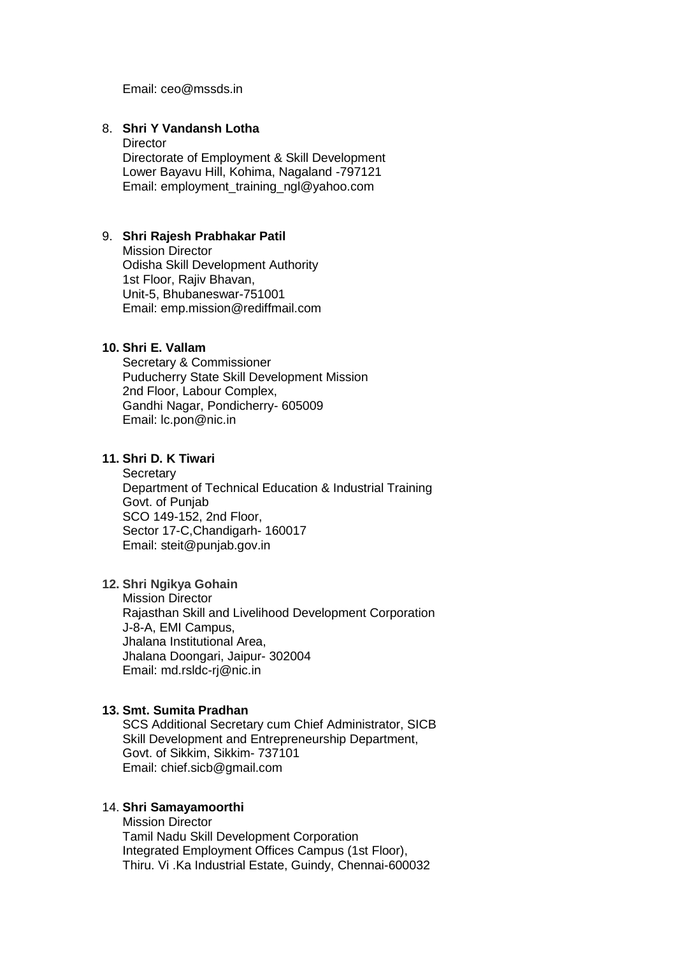Email: ceo@mssds.in

## 8. **Shri Y Vandansh Lotha**

**Director** Directorate of Employment & Skill Development Lower Bayavu Hill, Kohima, Nagaland -797121 Email: employment\_training\_ngl@yahoo.com

#### 9. **Shri Rajesh Prabhakar Patil**

Mission Director Odisha Skill Development Authority 1st Floor, Rajiv Bhavan, Unit-5, Bhubaneswar-751001 Email: emp.mission@rediffmail.com

### **10. Shri E. Vallam**

Secretary & Commissioner Puducherry State Skill Development Mission 2nd Floor, Labour Complex, Gandhi Nagar, Pondicherry- 605009 Email: lc.pon@nic.in

### **11. Shri D. K Tiwari**

**Secretary** Department of Technical Education & Industrial Training Govt. of Punjab SCO 149-152, 2nd Floor, Sector 17-C,Chandigarh- 160017 Email: [steit@punjab.gov.in](mailto:steit@punjab.gov.in)

## **12. Shri Ngikya Gohain**

Mission Director Rajasthan Skill and Livelihood Development Corporation J-8-A, EMI Campus, Jhalana Institutional Area, Jhalana Doongari, Jaipur- 302004 Email: md.rsldc-rj@nic.in

### **13. Smt. Sumita Pradhan**

SCS Additional Secretary cum Chief Administrator, SICB Skill Development and Entrepreneurship Department, Govt. of Sikkim, Sikkim- 737101 Email: chief.sicb@gmail.com

### 14. **Shri Samayamoorthi**

Mission Director Tamil Nadu Skill Development Corporation Integrated Employment Offices Campus (1st Floor), Thiru. Vi .Ka Industrial Estate, Guindy, Chennai-600032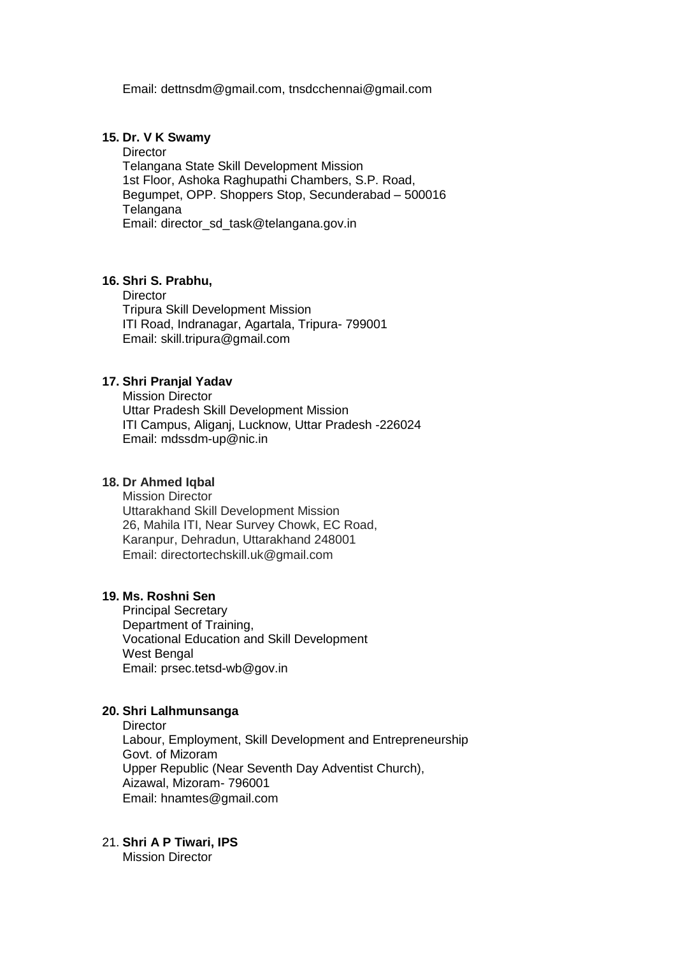Email: [dettnsdm@gmail.com,](mailto:dettnsdm@gmail.com) tnsdcchennai@gmail.com

### **15. Dr. V K Swamy**

**Director** Telangana State Skill Development Mission 1st Floor, Ashoka Raghupathi Chambers, S.P. Road, Begumpet, OPP. Shoppers Stop, Secunderabad – 500016 **Telangana** Email: director\_sd\_task@telangana.gov.in

## **16. Shri S. Prabhu,**

**Director** Tripura Skill Development Mission ITI Road, Indranagar, Agartala, Tripura- 799001 Email: skill.tripura@gmail.com

## **17. Shri Pranjal Yadav**

Mission Director Uttar Pradesh Skill Development Mission ITI Campus, Aliganj, Lucknow, Uttar Pradesh -226024 Email: mdssdm-up@nic.in

### **18. Dr Ahmed Iqbal**

Mission Director Uttarakhand Skill Development Mission 26, Mahila ITI, Near Survey Chowk, EC Road, Karanpur, Dehradun, Uttarakhand 248001 Email: [directortechskill.uk@gmail.com](mailto:directortechskill.uk@gmail.com)

#### **19. Ms. Roshni Sen**

Principal Secretary Department of Training, Vocational Education and Skill Development West Bengal Email: prsec.tetsd-wb@gov.in

#### **20. Shri Lalhmunsanga**

**Director** Labour, Employment, Skill Development and Entrepreneurship Govt. of Mizoram Upper Republic (Near Seventh Day Adventist Church), Aizawal, Mizoram- 796001 Email: hnamtes@gmail.com

# 21. **Shri A P Tiwari, IPS**

Mission Director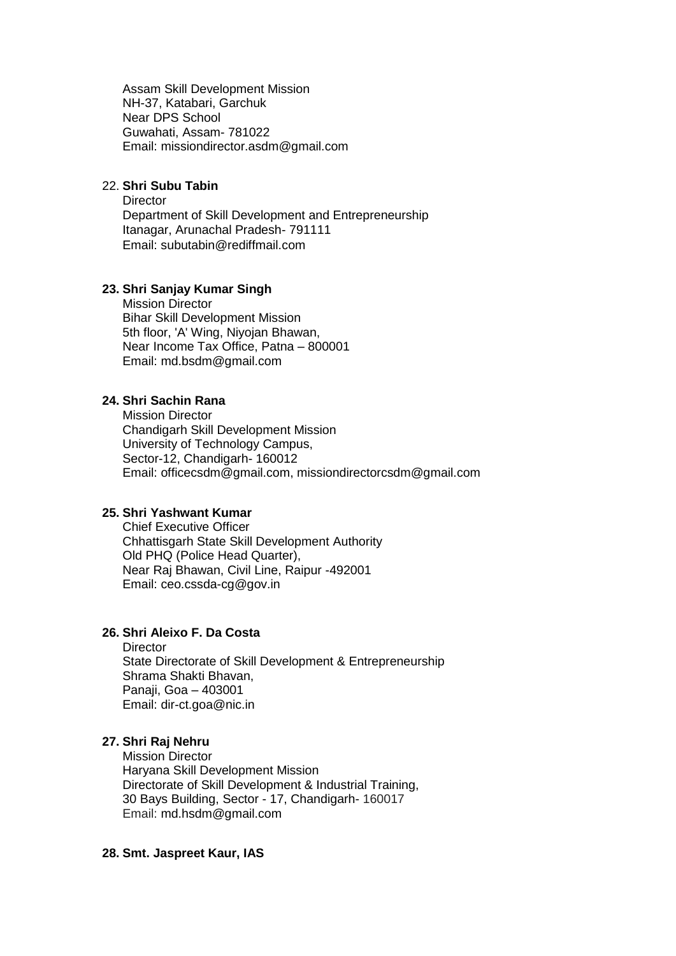Assam Skill Development Mission NH-37, Katabari, Garchuk Near DPS School Guwahati, Assam- 781022 Email: [missiondirector.asdm@gmail.com](mailto:missiondirector.asdm@gmail.com)

# 22. **Shri Subu Tabin**

**Director** Department of Skill Development and Entrepreneurship Itanagar, Arunachal Pradesh- 791111 Email: subutabin@rediffmail.com

## **23. Shri Sanjay Kumar Singh**

Mission Director Bihar Skill Development Mission 5th floor, 'A' Wing, Niyojan Bhawan, Near Income Tax Office, Patna – 800001 Email: [md.bsdm@gmail.com](mailto:md.bsdm@gmail.com)

# **24. Shri Sachin Rana**

Mission Director Chandigarh Skill Development Mission University of Technology Campus, Sector-12, Chandigarh- 160012 Email: [officecsdm@gmail.com,](mailto:officecsdm@gmail.com) missiondirectorcsdm@gmail.com

### **25. Shri Yashwant Kumar**

Chief Executive Officer Chhattisgarh State Skill Development Authority Old PHQ (Police Head Quarter), Near Raj Bhawan, Civil Line, Raipur -492001 Email: ceo.cssda-cg@gov.in

# **26. Shri Aleixo F. Da Costa**

**Director** 

State Directorate of Skill Development & Entrepreneurship Shrama Shakti Bhavan, Panaji, Goa – 403001 Email: [dir-ct.goa@nic.in](mailto:dir-ct.goa@nic.in)

#### **27. Shri Raj Nehru**

Mission Director Haryana Skill Development Mission Directorate of Skill Development & Industrial Training, 30 Bays Building, Sector - 17, Chandigarh- 160017 Email: [md.hsdm@gmail.com](mailto:md.hsdm@gmail.com)

#### **28. Smt. Jaspreet Kaur, IAS**